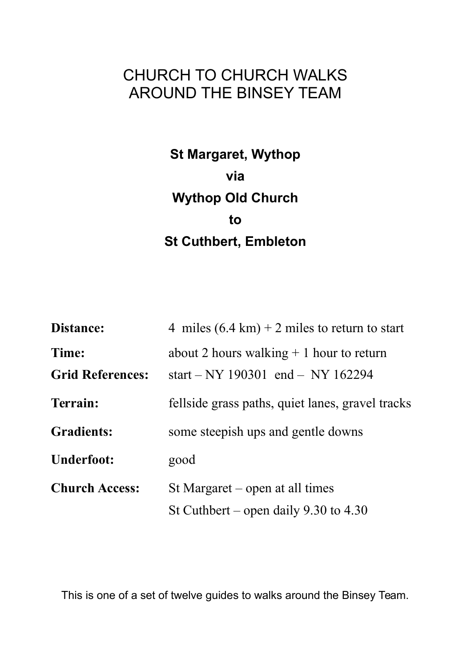# CHURCH TO CHURCH WALKS AROUND THE BINSEY TEAM

# **St Margaret, Wythop via Wythop Old Church to St Cuthbert, Embleton**

| Distance:                        | 4 miles $(6.4 \text{ km}) + 2 \text{ miles}$ to return to start                |
|----------------------------------|--------------------------------------------------------------------------------|
| Time:<br><b>Grid References:</b> | about 2 hours walking $+1$ hour to return<br>start – NY 190301 end – NY 162294 |
| Terrain:                         | fellside grass paths, quiet lanes, gravel tracks                               |
| <b>Gradients:</b>                | some steepish ups and gentle downs                                             |
| <b>Underfoot:</b>                | good                                                                           |
| <b>Church Access:</b>            | St Margaret $-$ open at all times                                              |
|                                  | St Cuthbert – open daily $9.30$ to $4.30$                                      |

This is one of a set of twelve guides to walks around the Binsey Team.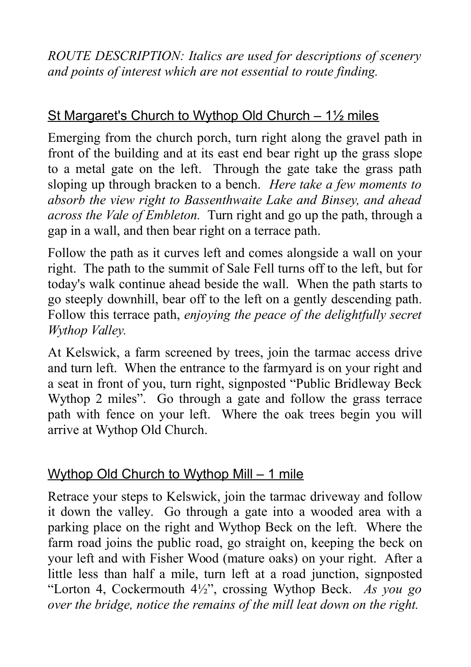*ROUTE DESCRIPTION: Italics are used for descriptions of scenery and points of interest which are not essential to route finding.*

## St Margaret's Church to Wythop Old Church – 1½ miles

Emerging from the church porch, turn right along the gravel path in front of the building and at its east end bear right up the grass slope to a metal gate on the left. Through the gate take the grass path sloping up through bracken to a bench. *Here take a few moments to absorb the view right to Bassenthwaite Lake and Binsey, and ahead across the Vale of Embleton.* Turn right and go up the path, through a gap in a wall, and then bear right on a terrace path.

Follow the path as it curves left and comes alongside a wall on your right. The path to the summit of Sale Fell turns off to the left, but for today's walk continue ahead beside the wall. When the path starts to go steeply downhill, bear off to the left on a gently descending path. Follow this terrace path, *enjoying the peace of the delightfully secret Wythop Valley.*

At Kelswick, a farm screened by trees, join the tarmac access drive and turn left. When the entrance to the farmyard is on your right and a seat in front of you, turn right, signposted "Public Bridleway Beck Wythop 2 miles". Go through a gate and follow the grass terrace path with fence on your left. Where the oak trees begin you will arrive at Wythop Old Church.

### Wythop Old Church to Wythop Mill – 1 mile

Retrace your steps to Kelswick, join the tarmac driveway and follow it down the valley. Go through a gate into a wooded area with a parking place on the right and Wythop Beck on the left. Where the farm road joins the public road, go straight on, keeping the beck on your left and with Fisher Wood (mature oaks) on your right. After a little less than half a mile, turn left at a road junction, signposted "Lorton 4, Cockermouth 4½", crossing Wythop Beck. *As you go over the bridge, notice the remains of the mill leat down on the right.*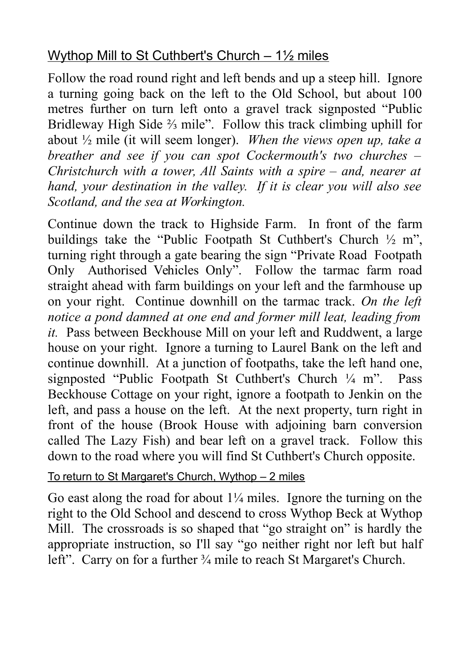## Wythop Mill to St Cuthbert's Church – 1<sup>1/2</sup> miles

Follow the road round right and left bends and up a steep hill. Ignore a turning going back on the left to the Old School, but about 100 metres further on turn left onto a gravel track signposted "Public Bridleway High Side ⅔ mile". Follow this track climbing uphill for about ½ mile (it will seem longer). *When the views open up, take a breather and see if you can spot Cockermouth's two churches – Christchurch with a tower, All Saints with a spire – and, nearer at hand, your destination in the valley. If it is clear you will also see Scotland, and the sea at Workington.*

Continue down the track to Highside Farm. In front of the farm buildings take the "Public Footpath St Cuthbert's Church ½ m", turning right through a gate bearing the sign "Private Road Footpath Only Authorised Vehicles Only". Follow the tarmac farm road straight ahead with farm buildings on your left and the farmhouse up on your right. Continue downhill on the tarmac track. *On the left notice a pond damned at one end and former mill leat, leading from it.* Pass between Beckhouse Mill on your left and Ruddwent, a large house on your right. Ignore a turning to Laurel Bank on the left and continue downhill. At a junction of footpaths, take the left hand one, signposted "Public Footpath St Cuthbert's Church ¼ m". Pass Beckhouse Cottage on your right, ignore a footpath to Jenkin on the left, and pass a house on the left. At the next property, turn right in front of the house (Brook House with adjoining barn conversion called The Lazy Fish) and bear left on a gravel track. Follow this down to the road where you will find St Cuthbert's Church opposite.

#### To return to St Margaret's Church, Wythop – 2 miles

Go east along the road for about  $1\frac{1}{4}$  miles. Ignore the turning on the right to the Old School and descend to cross Wythop Beck at Wythop Mill. The crossroads is so shaped that "go straight on" is hardly the appropriate instruction, so I'll say "go neither right nor left but half left". Carry on for a further  $\frac{3}{4}$  mile to reach St Margaret's Church.